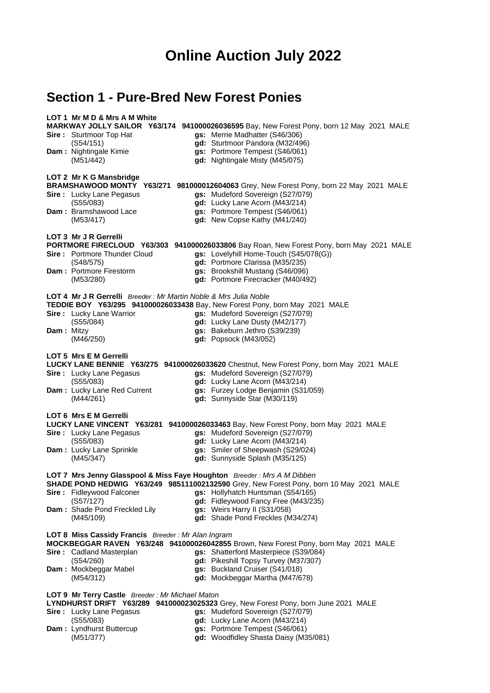# **Online Auction July 2022**

## **Section 1 - Pure-Bred New Forest Ponies**

#### **LOT 1 Mr M D & Mrs A M White**

## **MARKWAY JOLLY SAILOR Y63/174 941000026036595** Bay, New Forest Pony, born 12 May 2021 MALE

- **Sire :** Sturtmoor Top Hat **gs:** Merrie Madhatter (S46/306)
	-
- 
- (S54/151) **gd:** Sturtmoor Pandora (M32/496)
	- Nightingale Kimie **gs:** Portmore Tempest (S46/061)<br>
	(M51/442) **gd:** Nightingale Misty (M45/075) (M51/442) **gd:** Nightingale Misty (M45/075)

#### **LOT 2 Mr K G Mansbridge**

#### **BRAMSHAWOOD MONTY Y63/271 981000012604063** Grey, New Forest Pony, born 22 May 2021 MALE

- **Sire :** Lucky Lane Pegasus **gs:** Mudeford Sovereign (S27/079)
	- (S55/083) **gd:** Lucky Lane Acorn (M43/214)
		-

**Dam :** Bramshawood Lace **gs:** Portmore Tempest (S46/061)<br>**gd:** New Copse Kathy (M41/240) (M53/417) **gd:** New Copse Kathy (M41/240)

#### **LOT 3 Mr J R Gerrelli**

### **PORTMORE FIRECLOUD Y63/303 941000026033806** Bay Roan, New Forest Pony, born May 2021 MALE

- **Sire :** Portmore Thunder Cloud **gs:** Lovelyhill Home-Touch (S45/078(G))
	- (S48/575) **gd:** Portmore Clarissa (M35/235)
- **Dam :** Portmore Firestorm **gs:** Brookshill Mustang (S46/096)
	- (M53/280) **gd:** Portmore Firecracker (M40/492)
- **LOT 4 Mr J R Gerrelli** *Breeder : Mr Martin Noble & Mrs Julia Noble*

|                                 |  | TEDDIE BOY Y63/295 941000026033438 Bay, New Forest Pony, born May 2021 MALE |  |
|---------------------------------|--|-----------------------------------------------------------------------------|--|
| <b>Sire:</b> Lucky Lane Warrior |  | gs: Mudeford Sovereign (S27/079)                                            |  |

- 
- (S55/084) **gd:** Lucky Lane Dusty (M42/177)
- **Dam :** Mitzy **gs:** Bakeburn Jethro (S39/239)
	- (M46/250) **gd:** Popsock (M43/052)

#### **LOT 5 Mrs E M Gerrelli**

## **LUCKY LANE BENNIE Y63/275 941000026033620** Chestnut, New Forest Pony, born May 2021 MALE

- **Sire :** Lucky Lane Pegasus **gs:** Mudeford Sovereign (S27/079) (S55/083) **gd:** Lucky Lane Acorn (M43/214)
- **Dam :** Lucky Lane Red Current **gs:** Furzey Lodge Benjamin (S31/059)
	-
	- (M44/261) **gd:** Sunnyside Star (M30/119)

#### **LOT 6 Mrs E M Gerrelli**

| <b>Sire:</b> Lucky Lane Pegasus<br>(S55/083)              | LUCKY LANE VINCENT Y63/281 941000026033463 Bay, New Forest Pony, born May 2021 MALE<br>gs: Mudeford Sovereign (S27/079)<br><b>gd:</b> Lucky Lane Acorn (M43/214) |
|-----------------------------------------------------------|------------------------------------------------------------------------------------------------------------------------------------------------------------------|
| <b>Dam:</b> Lucky Lane Sprinkle                           | gs: Smiler of Sheepwash (S29/024)                                                                                                                                |
| (M45/347)                                                 | gd: Sunnyside Splash (M35/125)                                                                                                                                   |
|                                                           | LOT 7 Mrs Jenny Glasspool & Miss Faye Houghton Breeder: Mrs A M Dibben                                                                                           |
|                                                           | SHADE POND HEDWIG Y63/249 985111002132590 Grey, New Forest Pony, born 10 May 2021 MALE                                                                           |
| <b>Sire:</b> Fidleywood Falconer                          | <b>qs:</b> Hollyhatch Huntsman (S54/165)                                                                                                                         |
| (S57/127)                                                 | <b>gd:</b> Fidleywood Fancy Free (M43/235)                                                                                                                       |
| <b>Dam:</b> Shade Pond Freckled Lily                      | gs: Weirs Harry II (S31/058)                                                                                                                                     |
| (M45/109)                                                 | <b>qd:</b> Shade Pond Freckles (M34/274)                                                                                                                         |
| <b>LOT 8 Miss Cassidy Francis</b> Breeder: Mr Alan Ingram |                                                                                                                                                                  |
|                                                           | MOCKBEGGAR RAVEN Y63/248 941000026042855 Brown, New Forest Pony, born May 2021 MALE                                                                              |
| <b>Sire: Cadland Masterplan</b>                           | <b>gs:</b> Shatterford Masterpiece (S39/084)                                                                                                                     |
| (S54/260)                                                 | <b>gd:</b> Pikeshill Topsy Turvey (M37/307)                                                                                                                      |
| Dam: Mockbeggar Mabel                                     | gs: Buckland Cruiser (S41/018)                                                                                                                                   |
| (M54/312)                                                 | gd: Mockbeggar Martha (M47/678)                                                                                                                                  |

#### **LOT 9 Mr Terry Castle** *Breeder : Mr Michael Maton*

**LYNDHURST DRIFT Y63/289 941000023025323** Grey, New Forest Pony, born June 2021 MALE

- **Sire :** Lucky Lane Pegasus **gs:** Mudeford Sovereign (S27/079)
	- (S55/083) **gd:** Lucky Lane Acorn (M43/214)
- **Dam :** Lyndhurst Buttercup **gs:** Portmore Tempest (S46/061)
- - (M51/377) **gd:** Woodfidley Shasta Daisy (M35/081)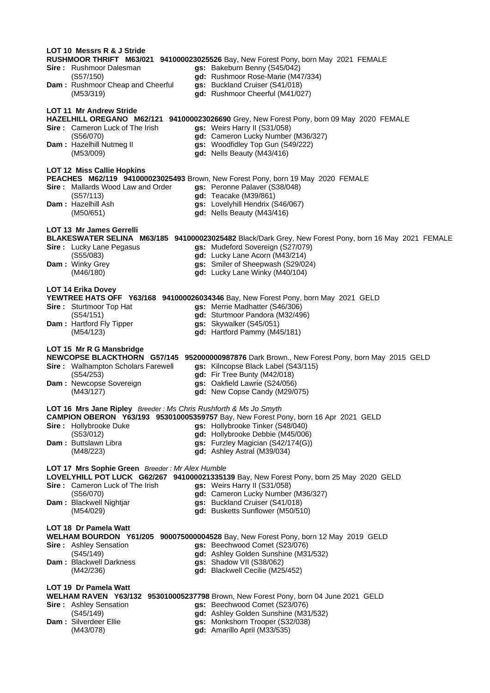| LOT 10 Messrs R & J Stride                                       | RUSHMOOR THRIFT M63/021 941000023025526 Bay, New Forest Pony, born May 2021 FEMALE                   |
|------------------------------------------------------------------|------------------------------------------------------------------------------------------------------|
| <b>Sire:</b> Rushmoor Dalesman                                   | gs: Bakeburn Benny (S45/042)                                                                         |
| (S57/150)                                                        | gd: Rushmoor Rose-Marie (M47/334)                                                                    |
| Dam: Rushmoor Cheap and Cheerful                                 | gs: Buckland Cruiser (S41/018)                                                                       |
| (M53/319)                                                        | gd: Rushmoor Cheerful (M41/027)                                                                      |
| <b>LOT 11 Mr Andrew Stride</b>                                   | HAZELHILL OREGANO M62/121 941000023026690 Grey, New Forest Pony, born 09 May 2020 FEMALE             |
| Sire: Cameron Luck of The Irish                                  | gs: Weirs Harry II (S31/058)                                                                         |
| (S56/070)                                                        | gd: Cameron Lucky Number (M36/327)                                                                   |
| Dam: Hazelhill Nutmeg II                                         | gs: Woodfidley Top Gun (S49/222)                                                                     |
| (M53/009)                                                        | gd: Nells Beauty (M43/416)                                                                           |
| <b>LOT 12 Miss Callie Hopkins</b>                                | PEACHES M62/119 941000023025493 Brown, New Forest Pony, born 19 May 2020 FEMALE                      |
| <b>Sire:</b> Mallards Wood Law and Order                         | gs: Peronne Palaver (S38/048)                                                                        |
| (S57/113)                                                        | gd: Teacake (M39/861)                                                                                |
| <b>Dam: Hazelhill Ash</b>                                        | gs: Lovelyhill Hendrix (S46/067)                                                                     |
| (M50/651)                                                        | gd: Nells Beauty (M43/416)                                                                           |
| <b>LOT 13 Mr James Gerrelli</b>                                  | BLAKESWATER SELINA M63/185 941000023025482 Black/Dark Grey, New Forest Pony, born 16 May 2021 FEMALE |
| Sire: Lucky Lane Pegasus                                         | gs: Mudeford Sovereign (S27/079)                                                                     |
| (S55/083)                                                        | gd: Lucky Lane Acorn (M43/214)                                                                       |
| Dam: Winky Grey                                                  | gs: Smiler of Sheepwash (S29/024)                                                                    |
| (M46/180)                                                        | gd: Lucky Lane Winky (M40/104)                                                                       |
| <b>LOT 14 Erika Dovey</b>                                        | YEWTREE HATS OFF Y63/168 941000026034346 Bay, New Forest Pony, born May 2021 GELD                    |
| Sire: Sturtmoor Top Hat                                          | gs: Merrie Madhatter (S46/306)                                                                       |
| (S54/151)                                                        | gd: Sturtmoor Pandora (M32/496)                                                                      |
| Dam: Hartford Fly Tipper<br>(M54/123)                            | gs: Skywalker (S45/051)                                                                              |
| (M54/123)                                                        | gd: Hartford Pammy (M45/181)                                                                         |
| LOT 15 Mr R G Mansbridge                                         | NEWCOPSE BLACKTHORN G57/145 952000000987876 Dark Brown., New Forest Pony, born May 2015 GELD         |
| Sire: Walhampton Scholars Farewell                               | gs: Kilncopse Black Label (S43/115)                                                                  |
| (S54/253)                                                        | gd: Fir Tree Bunty (M42/018)                                                                         |
| Dam: Newcopse Sovereign                                          | gs: Oakfield Lawrie (S24/056)                                                                        |
| (M43/127)                                                        | gd: New Copse Candy (M29/075)                                                                        |
| LOT 16 Mrs Jane Ripley Breeder: Ms Chris Rushforth & Ms Jo Smyth | CAMPION OBERON Y63/193 953010005359757 Bay, New Forest Pony, born 16 Apr 2021 GELD                   |
| Sire: Hollybrooke Duke                                           | gs: Hollybrooke Tinker (S48/040)                                                                     |
| (S53/012)                                                        | gd: Hollybrooke Debbie (M45/006)                                                                     |
| Dam: Buttslawn Libra                                             | gs: Furzley Magician (S42/174(G))                                                                    |
| (M48/223)                                                        | gd: Ashley Astral (M39/034)                                                                          |
| LOT 17 Mrs Sophie Green Breeder: Mr Alex Humble                  | LOVELYHILL POT LUCK G62/267 941000021335139 Bay, New Forest Pony, born 25 May 2020 GELD              |
| <b>Sire:</b> Cameron Luck of The Irish                           | gs: Weirs Harry II (S31/058)                                                                         |
| (S56/070)                                                        | gd: Cameron Lucky Number (M36/327)                                                                   |
| Dam: Blackwell Nightjar                                          | gs: Buckland Cruiser (S41/018)                                                                       |
| (M54/029)                                                        | gd: Busketts Sunflower (M50/510)                                                                     |
| <b>LOT 18 Dr Pamela Watt</b>                                     | WELHAM BOURDON Y61/205 900075000004528 Bay, New Forest Pony, born 12 May 2019 GELD                   |
| <b>Sire:</b> Ashley Sensation                                    | gs: Beechwood Comet (S23/076)                                                                        |
| (S45/149)                                                        | gd: Ashley Golden Sunshine (M31/532)                                                                 |
| <b>Dam: Blackwell Darkness</b>                                   | gs: Shadow VII (S38/062)                                                                             |
| (M42/236)                                                        | gd: Blackwell Cecilie (M25/452)                                                                      |
| <b>LOT 19 Dr Pamela Watt</b>                                     | WELHAM RAVEN Y63/132 953010005237798 Brown, New Forest Pony, born 04 June 2021 GELD                  |
| <b>Sire:</b> Ashley Sensation                                    | gs: Beechwood Comet (S23/076)                                                                        |
| (S45/149)                                                        | gd: Ashley Golden Sunshine (M31/532)                                                                 |
| Dam: Silverdeer Ellie                                            | gs: Monkshorn Trooper (S32/038)                                                                      |
| (M43/078)                                                        | gd: Amarillo April (M33/535)                                                                         |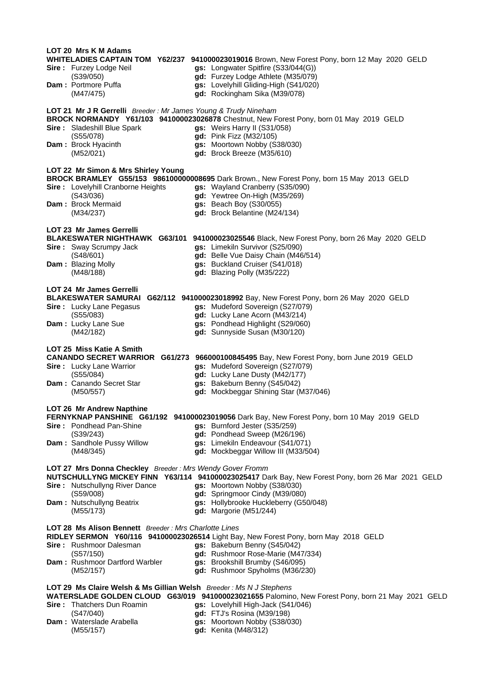| LOT 20 Mrs K M Adams                                               | WHITELADIES CAPTAIN TOM Y62/237 941000023019016 Brown, New Forest Pony, born 12 May 2020 GELD     |
|--------------------------------------------------------------------|---------------------------------------------------------------------------------------------------|
| Sire: Furzey Lodge Neil                                            | gs: Longwater Spitfire (S33/044(G))                                                               |
| (S39/050)                                                          | gd: Furzey Lodge Athlete (M35/079)                                                                |
| <b>Dam: Portmore Puffa</b>                                         | gs: Lovelyhill Gliding-High (S41/020)                                                             |
| (M47/475)                                                          | gd: Rockingham Sika (M39/078)                                                                     |
| LOT 21 Mr J R Gerrelli Breeder: Mr James Young & Trudy Nineham     | BROCK NORMANDY Y61/103 941000023026878 Chestnut, New Forest Pony, born 01 May 2019 GELD           |
| <b>Sire:</b> Sladeshill Blue Spark                                 | gs: Weirs Harry II (S31/058)                                                                      |
| (S55/078)                                                          | gd: Pink Fizz (M32/105)                                                                           |
| <b>Dam:</b> Brock Hyacinth                                         | gs: Moortown Nobby (S38/030)                                                                      |
| (M52/021)                                                          | gd: Brock Breeze (M35/610)                                                                        |
| LOT 22 Mr Simon & Mrs Shirley Young                                | BROCK BRAMLEY G55/153 986100000008695 Dark Brown., New Forest Pony, born 15 May 2013 GELD         |
| <b>Sire:</b> Lovelyhill Cranborne Heights                          | gs: Wayland Cranberry (S35/090)                                                                   |
| (S43/036)                                                          | gd: Yewtree On-High (M35/269)                                                                     |
| Dam: Brock Mermaid                                                 | gs: Beach Boy (S30/055)                                                                           |
| (M34/237)                                                          | gd: Brock Belantine (M24/134)                                                                     |
| LOT 23 Mr James Gerrelli                                           | BLAKESWATER NIGHTHAWK G63/101 941000023025546 Black, New Forest Pony, born 26 May 2020 GELD       |
| <b>Sire:</b> Sway Scrumpy Jack                                     | gs: Limekiln Survivor (S25/090)                                                                   |
| (S48/601)                                                          | gd: Belle Vue Daisy Chain (M46/514)                                                               |
| <b>Dam: Blazing Molly</b>                                          | gs: Buckland Cruiser (S41/018)                                                                    |
| (M48/188)                                                          | gd: Blazing Polly (M35/222)                                                                       |
| <b>LOT 24 Mr James Gerrelli</b>                                    | BLAKESWATER SAMURAI G62/112 941000023018992 Bay, New Forest Pony, born 26 May 2020 GELD           |
| <b>Sire:</b> Lucky Lane Pegasus                                    | gs: Mudeford Sovereign (S27/079)                                                                  |
| (S55/083)                                                          | gd: Lucky Lane Acorn (M43/214)                                                                    |
| Dam: Lucky Lane Sue                                                | gs: Pondhead Highlight (S29/060)                                                                  |
| (M42/182)                                                          | gd: Sunnyside Susan (M30/120)                                                                     |
| LOT 25 Miss Katie A Smith                                          | CANANDO SECRET WARRIOR G61/273 966000100845495 Bay, New Forest Pony, born June 2019 GELD          |
| <b>Sire:</b> Lucky Lane Warrior                                    | gs: Mudeford Sovereign (S27/079)                                                                  |
| (S55/084)                                                          | gd: Lucky Lane Dusty (M42/177)                                                                    |
| Dam: Canando Secret Star                                           | gs: Bakeburn Benny (S45/042)                                                                      |
| (M50/557)                                                          | gd: Mockbeggar Shining Star (M37/046)                                                             |
| LOT 26 Mr Andrew Napthine                                          | FERNYKNAP PANSHINE G61/192 941000023019056 Dark Bay, New Forest Pony, born 10 May 2019 GELD       |
| <b>Sire:</b> Pondhead Pan-Shine                                    | gs: Burnford Jester (S35/259)                                                                     |
| (S39/243)                                                          | gd: Pondhead Sweep (M26/196)                                                                      |
| Dam: Sandhole Pussy Willow                                         | gs: Limekiln Endeavour (S41/071)                                                                  |
| (M48/345)                                                          | gd: Mockbeggar Willow III (M33/504)                                                               |
| LOT 27 Mrs Donna Checkley Breeder: Mrs Wendy Gover Fromm           | NUTSCHULLYNG MICKEY FINN Y63/114 941000023025417 Dark Bay, New Forest Pony, born 26 Mar 2021 GELD |
| Sire: Nutschullyng River Dance                                     | gs: Moortown Nobby (S38/030)                                                                      |
| (S59/008)                                                          | gd: Springmoor Cindy (M39/080)                                                                    |
| Dam: Nutschullyng Beatrix                                          | gs: Hollybrooke Huckleberry (G50/048)                                                             |
| (M55/173)                                                          | $gd:$ Margorie (M51/244)                                                                          |
| LOT 28 Ms Alison Bennett Breeder: Mrs Charlotte Lines              | RIDLEY SERMON Y60/116 941000023026514 Light Bay, New Forest Pony, born May 2018 GELD              |
| <b>Sire:</b> Rushmoor Dalesman                                     | gs: Bakeburn Benny (S45/042)                                                                      |
| (S57/150)                                                          | gd: Rushmoor Rose-Marie (M47/334)                                                                 |
| Dam: Rushmoor Dartford Warbler                                     | gs: Brookshill Brumby (S46/095)                                                                   |
| (M52/157)                                                          | gd: Rushmoor Spyholms (M36/230)                                                                   |
| LOT 29 Ms Claire Welsh & Ms Gillian Welsh Breeder: Ms N J Stephens | WATERSLADE GOLDEN CLOUD G63/019 941000023021655 Palomino, New Forest Pony, born 21 May 2021 GELD  |
| <b>Sire: Thatchers Dun Roamin</b>                                  | gs: Lovelyhill High-Jack (S41/046)                                                                |
| (S47/040)                                                          | gd: FTJ's Rosina (M39/198)                                                                        |
| Dam: Waterslade Arabella                                           | gs: Moortown Nobby (S38/030)                                                                      |
| (M55/157)                                                          | gd: Kenita (M48/312)                                                                              |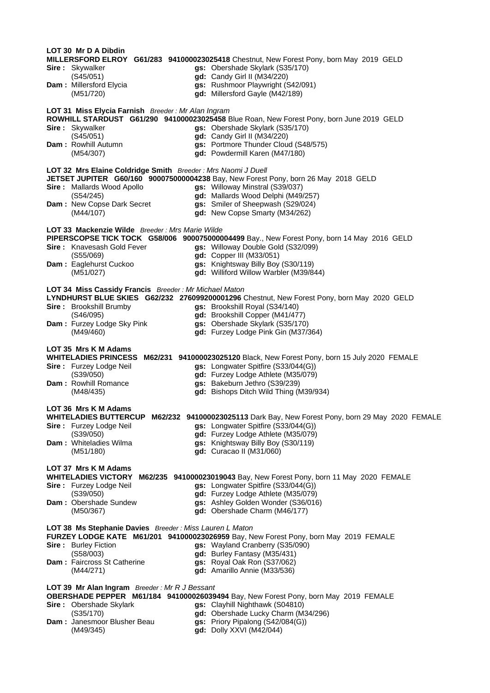**LOT 30 Mr D A Dibdin MILLERSFORD ELROY G61/283 941000023025418** Chestnut, New Forest Pony, born May 2019 GELD gs: Obershade Skylark (S35/170) (S45/051) **gd:** Candy Girl II (M34/220) **Dam :** Millersford Elycia **gs:** Rushmoor Playwright (S42/091) (M51/720) **gd:** Millersford Gayle (M42/189) **LOT 31 Miss Elycia Farnish** *Breeder : Mr Alan Ingram* **ROWHILL STARDUST G61/290 941000023025458** Blue Roan, New Forest Pony, born June 2019 GELD **Sire :** Skywalker **gs:** Obershade Skylark (S35/170) (S45/051) **gd:** Candy Girl II (M34/220) **Dam :** Rowhill Autumn **gs:** Portmore Thunder Cloud (S48/575)<br>(M54/307) **gd:** Powdermill Karen (M47/180) (M54/307) **gd:** Powdermill Karen (M47/180) **LOT 32 Mrs Elaine Coldridge Smith** *Breeder : Mrs Naomi J Duell* **JETSET JUPITER G60/160 900075000004238** Bay, New Forest Pony, born 26 May 2018 GELD **Sire :** Mallards Wood Apollo **gs:** Willoway Minstral (S39/037) (S54/245) **gd:** Mallards Wood Delphi (M49/257) **gs:** Smiler of Sheepwash (S29/024) (M44/107) **gd:** New Copse Smarty (M34/262) **LOT 33 Mackenzie Wilde** *Breeder : Mrs Marie Wilde* **PIPERSCOPSE TICK TOCK G58/006 900075000004499** Bay., New Forest Pony, born 14 May 2016 GELD **Sire :** Knavesash Gold Fever **gs:** Willoway Double Gold (S32/099) (S55/069) **gd:** Copper III (M33/051) **Dam :** Eaglehurst Cuckoo **gs:** Knightsway Billy Boy (S30/119) (M51/027) **gd:** Williford Willow Warbler (M39/844) **LOT 34 Miss Cassidy Francis** *Breeder : Mr Michael Maton* **LYNDHURST BLUE SKIES G62/232 276099200001296** Chestnut, New Forest Pony, born May 2020 GELD **Sire :** Brookshill Brumby **gs:** Brookshill Royal (S34/140) (S46/095) **gd:** Brookshill Copper (M41/477) **Dam :** Furzey Lodge Sky Pink **gs:** Obershade Skylark (S35/170) (M49/460) **gd:** Furzey Lodge Pink Gin (M37/364) **LOT 35 Mrs K M Adams WHITELADIES PRINCESS M62/231 941000023025120** Black, New Forest Pony, born 15 July 2020 FEMALE **Sire :** Furzey Lodge Neil **gs:** Longwater Spitfire (S33/044(G)) (S39/050) **gd:** Furzey Lodge Athlete (M35/079) **Dam :** Rowhill Romance **gs:** Bakeburn Jethro (S39/239) (M48/435) **gd:** Bishops Ditch Wild Thing (M39/934) **LOT 36 Mrs K M Adams WHITELADIES BUTTERCUP M62/232 941000023025113** Dark Bay, New Forest Pony, born 29 May 2020 FEMALE **Sire :** Furzey Lodge Neil **gs:** Longwater Spitfire (S33/044(G)) (S39/050) **gd:** Furzey Lodge Athlete (M35/079) **Dam :** Whiteladies Wilma **gs:** Knightsway Billy Boy (S30/119) (M51/180) **gd:** Curacao II (M31/060) **LOT 37 Mrs K M Adams WHITELADIES VICTORY M62/235 941000023019043** Bay, New Forest Pony, born 11 May 2020 FEMALE **Sire :** Furzey Lodge Neil **gs:** Longwater Spitfire (S33/044(G)) (S39/050) **gd:** Furzey Lodge Athlete (M35/079) **gs:** Ashley Golden Wonder (S36/016) (M50/367) **gd:** Obershade Charm (M46/177) **LOT 38 Ms Stephanie Davies** *Breeder : Miss Lauren L Maton* **FURZEY LODGE KATE M61/201 941000023026959** Bay, New Forest Pony, born May 2019 FEMALE **Sire :** Burley Fiction **gs:** Wayland Cranberry (S35/090) (S58/003) **gd:** Burley Fantasy (M35/431) **gs:** Royal Oak Ron (S37/062) (M44/271) **gd:** Amarillo Annie (M33/536) **LOT 39 Mr Alan Ingram** *Breeder : Mr R J Bessant* **OBERSHADE PEPPER M61/184 941000026039494** Bay, New Forest Pony, born May 2019 FEMALE **Sire :** Obershade Skylark **gs:** Clayhill Nighthawk (S04810) (S35/170) **gd:** Obershade Lucky Charm (M34/296) **Dam :** Janesmoor Blusher Beau **gs:** Priory Pipalong (S42/084(G)) (M49/345) **gd:** Dolly XXVI (M42/044)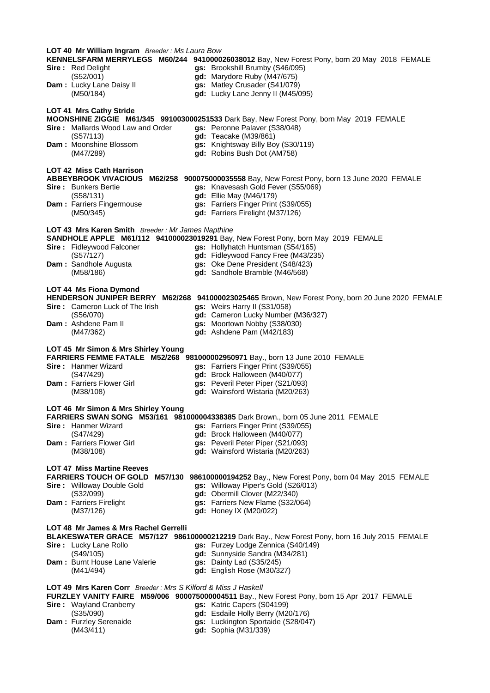| LOT 40 Mr William Ingram Breeder: Ms Laura Bow                | KENNELSFARM MERRYLEGS M60/244 941000026038012 Bay, New Forest Pony, born 20 May 2018 FEMALE      |
|---------------------------------------------------------------|--------------------------------------------------------------------------------------------------|
| Sire: Red Delight                                             | gs: Brookshill Brumby (S46/095)                                                                  |
| (S52/001)                                                     | gd: Marydore Ruby (M47/675)                                                                      |
| Dam: Lucky Lane Daisy II                                      | gs: Matley Crusader (S41/079)                                                                    |
| (M50/184)                                                     | gd: Lucky Lane Jenny II (M45/095)                                                                |
| LOT 41 Mrs Cathy Stride                                       | MOONSHINE ZIGGIE M61/345 991003000251533 Dark Bay, New Forest Pony, born May 2019 FEMALE         |
| <b>Sire:</b> Mallards Wood Law and Order                      | gs: Peronne Palaver (S38/048)                                                                    |
| (S57/113)                                                     | gd: Teacake (M39/861)                                                                            |
| <b>Dam: Moonshine Blossom</b>                                 | gs: Knightsway Billy Boy (S30/119)                                                               |
| (M47/289)                                                     | gd: Robins Bush Dot (AM758)                                                                      |
| LOT 42 Miss Cath Harrison                                     | ABBEYBROOK VIVACIOUS M62/258 900075000035558 Bay, New Forest Pony, born 13 June 2020 FEMALE      |
| <b>Sire:</b> Bunkers Bertie                                   | gs: Knavesash Gold Fever (S55/069)                                                               |
| (S58/131)                                                     | gd: Ellie May (M46/179)                                                                          |
| Dam: Farriers Fingermouse                                     | gs: Farriers Finger Print (S39/055)                                                              |
| (M50/345)                                                     | gd: Farriers Firelight (M37/126)                                                                 |
| LOT 43 Mrs Karen Smith Breeder: Mr James Napthine             | SANDHOLE APPLE M61/112 941000023019291 Bay, New Forest Pony, born May 2019 FEMALE                |
| Sire: Fidleywood Falconer                                     | gs: Hollyhatch Huntsman (S54/165)                                                                |
| (S57/127)                                                     | gd: Fidleywood Fancy Free (M43/235)                                                              |
| Dam: Sandhole Augusta                                         | gs: Oke Dene President (S48/423)                                                                 |
| (M58/186)                                                     | gd: Sandhole Bramble (M46/568)                                                                   |
| LOT 44 Ms Fiona Dymond                                        | HENDERSON JUNIPER BERRY M62/268 941000023025465 Brown, New Forest Pony, born 20 June 2020 FEMALE |
| Sire: Cameron Luck of The Irish                               | gs: Weirs Harry II (S31/058)                                                                     |
| (S56/070)                                                     | gd: Cameron Lucky Number (M36/327)                                                               |
| Dam: Ashdene Pam II                                           | gs: Moortown Nobby (S38/030)                                                                     |
| (M47/362)                                                     | gd: Ashdene Pam (M42/183)                                                                        |
| LOT 45 Mr Simon & Mrs Shirley Young                           | FARRIERS FEMME FATALE M52/268 981000002950971 Bay., born 13 June 2010 FEMALE                     |
| Sire: Hanmer Wizard                                           | gs: Farriers Finger Print (S39/055)                                                              |
| (S47/429)                                                     | gd: Brock Halloween (M40/077)                                                                    |
| Dam: Farriers Flower Girl                                     | gs: Peveril Peter Piper (S21/093)                                                                |
| (M38/108)                                                     | gd: Wainsford Wistaria (M20/263)                                                                 |
| LOT 46 Mr Simon & Mrs Shirley Young                           | FARRIERS SWAN SONG M53/161 981000004338385 Dark Brown., born 05 June 2011 FEMALE                 |
| Sire: Hanmer Wizard                                           | gs: Farriers Finger Print (S39/055)                                                              |
| (S47/429)                                                     | gd: Brock Halloween (M40/077)                                                                    |
| Dam: Farriers Flower Girl                                     | gs: Peveril Peter Piper (S21/093)                                                                |
| (M38/108)                                                     | gd: Wainsford Wistaria (M20/263)                                                                 |
| <b>LOT 47 Miss Martine Reeves</b>                             | FARRIERS TOUCH OF GOLD M57/130 986100000194252 Bay., New Forest Pony, born 04 May 2015 FEMALE    |
| Sire: Willoway Double Gold                                    | gs: Willoway Piper's Gold (S26/013)                                                              |
| (S32/099)                                                     | gd: Obermill Clover (M22/340)                                                                    |
| Dam: Farriers Firelight                                       | gs: Farriers New Flame (S32/064)                                                                 |
| (M37/126)                                                     | gd: Honey IX (M20/022)                                                                           |
| LOT 48 Mr James & Mrs Rachel Gerrelli                         | BLAKESWATER GRACE M57/127 986100000212219 Dark Bay., New Forest Pony, born 16 July 2015 FEMALE   |
| <b>Sire:</b> Lucky Lane Rollo                                 | gs: Furzey Lodge Zennica (S40/149)                                                               |
| (S49/105)                                                     | gd: Sunnyside Sandra (M34/281)                                                                   |
| Dam: Burnt House Lane Valerie                                 | gs: Dainty Lad (S35/245)                                                                         |
| (M41/494)                                                     | gd: English Rose (M30/327)                                                                       |
| LOT 49 Mrs Karen Corr Breeder: Mrs S Kilford & Miss J Haskell | FURZLEY VANITY FAIRE M59/006 900075000004511 Bay., New Forest Pony, born 15 Apr 2017 FEMALE      |
| <b>Sire:</b> Wayland Cranberry                                | gs: Katric Capers (S04199)                                                                       |
| (S35/090)                                                     | gd: Esdaile Holly Berry (M20/176)                                                                |
| Dam: Furzley Serenaide                                        | gs: Luckington Sportaide (S28/047)                                                               |
| (M43/411)                                                     | gd: Sophia (M31/339)                                                                             |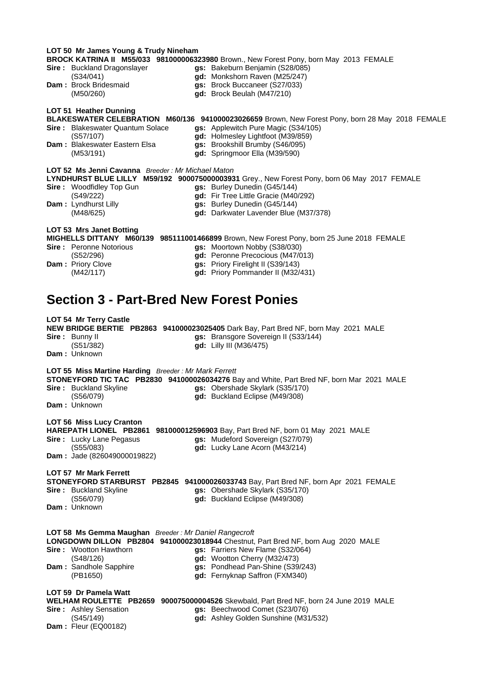|                                                                                 | LOT 50 Mr James Young & Trudy Nineham                                                                                        |
|---------------------------------------------------------------------------------|------------------------------------------------------------------------------------------------------------------------------|
| Sire: Buckland Dragonslayer                                                     | BROCK KATRINA II M55/033 981000006323980 Brown., New Forest Pony, born May 2013 FEMALE<br>gs: Bakeburn Benjamin (S28/085)    |
| (S34/041)                                                                       | gd: Monkshorn Raven (M25/247)                                                                                                |
| Dam: Brock Bridesmaid                                                           | gs: Brock Buccaneer (S27/033)                                                                                                |
| (M50/260)                                                                       | gd: Brock Beulah (M47/210)                                                                                                   |
| LOT 51 Heather Dunning                                                          |                                                                                                                              |
|                                                                                 | BLAKESWATER CELEBRATION M60/136 941000023026659 Brown, New Forest Pony, born 28 May 2018 FEMALE                              |
| <b>Sire:</b> Blakeswater Quantum Solace<br>(S57/107)                            | gs: Applewitch Pure Magic (S34/105)<br>gd: Holmesley Lightfoot (M39/859)                                                     |
| Dam: Blakeswater Eastern Elsa                                                   | gs: Brookshill Brumby (S46/095)                                                                                              |
| (M53/191)                                                                       | gd: Springmoor Ella (M39/590)                                                                                                |
| <b>LOT 52 Ms Jenni Cavanna</b> Breeder: Mr Michael Maton                        |                                                                                                                              |
|                                                                                 | LYNDHURST BLUE LILLY M59/192 900075000003931 Grey., New Forest Pony, born 06 May 2017 FEMALE                                 |
| <b>Sire:</b> Woodfidley Top Gun                                                 | gs: Burley Dunedin (G45/144)                                                                                                 |
| (S49/222)<br>Dam: Lyndhurst Lilly                                               | gd: Fir Tree Little Gracie (M40/292)<br>gs: Burley Dunedin (G45/144)                                                         |
| (M48/625)                                                                       | gd: Darkwater Lavender Blue (M37/378)                                                                                        |
|                                                                                 |                                                                                                                              |
| <b>LOT 53 Mrs Janet Botting</b>                                                 | MIGHELLS DITTANY M60/139 985111001466899 Brown, New Forest Pony, born 25 June 2018 FEMALE                                    |
| <b>Sire: Peronne Notorious</b>                                                  | gs: Moortown Nobby (S38/030)                                                                                                 |
| (S52/296)                                                                       | gd: Peronne Precocious (M47/013)                                                                                             |
| Dam : Priory Clove<br>(M42/117)                                                 | gs: Priory Firelight II (S39/143)<br>gd: Priory Pommander II (M32/431)                                                       |
|                                                                                 |                                                                                                                              |
|                                                                                 |                                                                                                                              |
| <b>Section 3 - Part-Bred New Forest Ponies</b>                                  |                                                                                                                              |
| <b>LOT 54 Mr Terry Castle</b>                                                   |                                                                                                                              |
|                                                                                 | NEW BRIDGE BERTIE PB2863 941000023025405 Dark Bay, Part Bred NF, born May 2021 MALE                                          |
| Sire: Bunny II                                                                  | gs: Bransgore Sovereign II (S33/144)                                                                                         |
| (S51/382)<br>Dam: Unknown                                                       | <b>gd:</b> Lilly III (M36/475)                                                                                               |
|                                                                                 |                                                                                                                              |
| LOT 55 Miss Martine Harding Breeder: Mr Mark Ferrett                            |                                                                                                                              |
| Sire: Buckland Skyline                                                          | STONEYFORD TIC TAC PB2830 941000026034276 Bay and White, Part Bred NF, born Mar 2021 MALE<br>gs: Obershade Skylark (S35/170) |
| (S56/079)                                                                       | gd: Buckland Eclipse (M49/308)                                                                                               |
| Dam: Unknown                                                                    |                                                                                                                              |
| <b>LOT 56 Miss Lucy Cranton</b>                                                 |                                                                                                                              |
| HAREPATH LIONEL PB2861 981000012596903 Bay, Part Bred NF, born 01 May 2021 MALE |                                                                                                                              |
| Sire: Lucky Lane Pegasus                                                        |                                                                                                                              |
|                                                                                 | gs: Mudeford Sovereign (S27/079)                                                                                             |
| (S55/083)                                                                       | gd: Lucky Lane Acorn (M43/214)                                                                                               |
| Dam: Jade (826049000019822)                                                     |                                                                                                                              |
| <b>LOT 57 Mr Mark Ferrett</b>                                                   |                                                                                                                              |
|                                                                                 | STONEYFORD STARBURST PB2845 941000026033743 Bay, Part Bred NF, born Apr 2021 FEMALE                                          |
| Sire: Buckland Skyline<br>(S56/079)                                             | gs: Obershade Skylark (S35/170)<br>gd: Buckland Eclipse (M49/308)                                                            |
| <b>Dam:</b> Unknown                                                             |                                                                                                                              |
|                                                                                 |                                                                                                                              |
| LOT 58 Ms Gemma Maughan Breeder: Mr Daniel Rangecroft                           |                                                                                                                              |
|                                                                                 | LONGDOWN DILLON PB2804 941000023018944 Chestnut, Part Bred NF, born Aug 2020 MALE                                            |
| <b>Sire:</b> Wootton Hawthorn<br>(S48/126)                                      | gs: Farriers New Flame (S32/064)<br>gd: Wootton Cherry (M32/473)                                                             |
| Dam: Sandhole Sapphire                                                          | gs: Pondhead Pan-Shine (S39/243)                                                                                             |
| (PB1650)                                                                        | gd: Fernyknap Saffron (FXM340)                                                                                               |
| LOT 59 Dr Pamela Watt                                                           |                                                                                                                              |
|                                                                                 | WELHAM ROULETTE PB2659 900075000004526 Skewbald, Part Bred NF, born 24 June 2019 MALE                                        |
| <b>Sire:</b> Ashley Sensation<br>(S45/149)                                      | gs: Beechwood Comet (S23/076)<br>gd: Ashley Golden Sunshine (M31/532)                                                        |